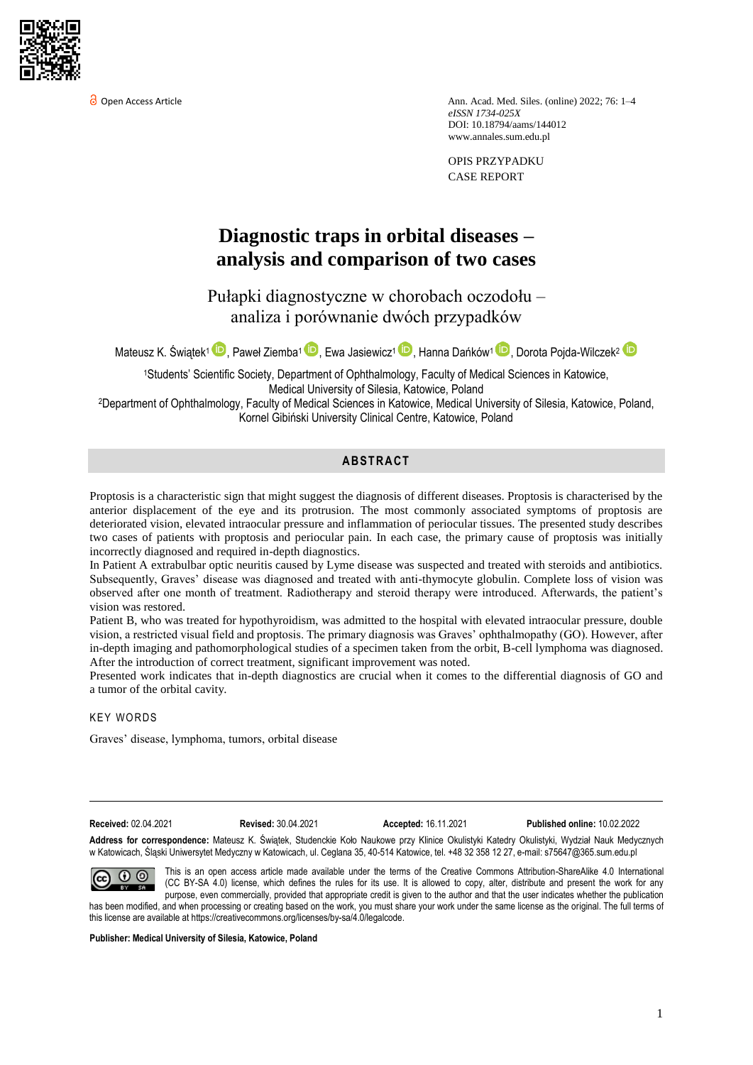

Open Access Article Ann. Acad. Med. Siles. (online) 2022; 76: 1–4 *eISSN 1734-025X*  DOI: 10.18794/aams/144012 [www.annales.sum.edu.pl](https://annales.sum.edu.pl/)

> OPIS PRZYPADKU CASE REPORT

# **Diagnostic traps in orbital diseases – analysis and comparison of two cases**

Pułapki diagnostyczne w chorobach oczodołu – analiza i porównanie dwóch przypadków

Mateusz K. Świątek<sup>1</sup> (U), Paweł Ziemba<sup>1</sup> (U), Ewa Jasiewicz<sup>1</sup> (U), Hanna Dańków<sup>1</sup> (U), Dorota Pojda-Wilczek<sup>2</sup>

<sup>1</sup>Students' Scientific Society, Department of Ophthalmology, Faculty of Medical Sciences in Katowice, Medical University of Silesia, Katowice, Poland

<sup>2</sup>Department of Ophthalmology, Faculty of Medical Sciences in Katowice, Medical University of Silesia, Katowice, Poland, Kornel Gibiński University Clinical Centre, Katowice, Poland

# **AB STR ACT**

Proptosis is a characteristic sign that might suggest the diagnosis of different diseases. Proptosis is characterised by the anterior displacement of the eye and its protrusion. The most commonly associated symptoms of proptosis are deteriorated vision, elevated intraocular pressure and inflammation of periocular tissues. The presented study describes two cases of patients with proptosis and periocular pain. In each case, the primary cause of proptosis was initially incorrectly diagnosed and required in-depth diagnostics.

In Patient A extrabulbar optic neuritis caused by Lyme disease was suspected and treated with steroids and antibiotics. Subsequently, Graves' disease was diagnosed and treated with anti-thymocyte globulin. Complete loss of vision was observed after one month of treatment. Radiotherapy and steroid therapy were introduced. Afterwards, the patient's vision was restored.

Patient B, who was treated for hypothyroidism, was admitted to the hospital with elevated intraocular pressure, double vision, a restricted visual field and proptosis. The primary diagnosis was Graves' ophthalmopathy (GO). However, after in-depth imaging and pathomorphological studies of a specimen taken from the orbit, B-cell lymphoma was diagnosed. After the introduction of correct treatment, significant improvement was noted.

Presented work indicates that in-depth diagnostics are crucial when it comes to the differential diagnosis of GO and a tumor of the orbital cavity.

**KEY WORDS** 

Graves' disease, lymphoma, tumors, orbital disease

**Received:** 02.04.2021 **Revised:** 30.04.2021 **Accepted:** 16.11.2021 **Published online:** 10.02.2022

**Address for correspondence:** Mateusz K. Świątek, Studenckie Koło Naukowe przy Klinice Okulistyki Katedry Okulistyki, Wydział Nauk Medycznych w Katowicach, Śląski Uniwersytet Medyczny w Katowicach, ul. Ceglana 35, 40-514 Katowice, tel. +48 32 358 12 27, e-mail: s75647@365.sum.edu.pl

This is an open access article made available under the terms of the Creative Commons Attribution-ShareAlike 4.0 International  $\odot$   $\odot$ (CC BY-SA 4.0) license, which defines the rules for its use. It is allowed to copy, alter, distribute and present the work for any purpose, even commercially, provided that appropriate credit is given to the author and that the user indicates whether the publication has been modified, and when processing or creating based on the work, you must share your work under the same license as the original. The full terms of this license are available a[t https://creativecommons.org/licenses/by-sa/4.0/legalcode.](https://creativecommons.org/licenses/by-sa/4.0/legalcode)

**Publisher: Medical University of Silesia, Katowice, Poland**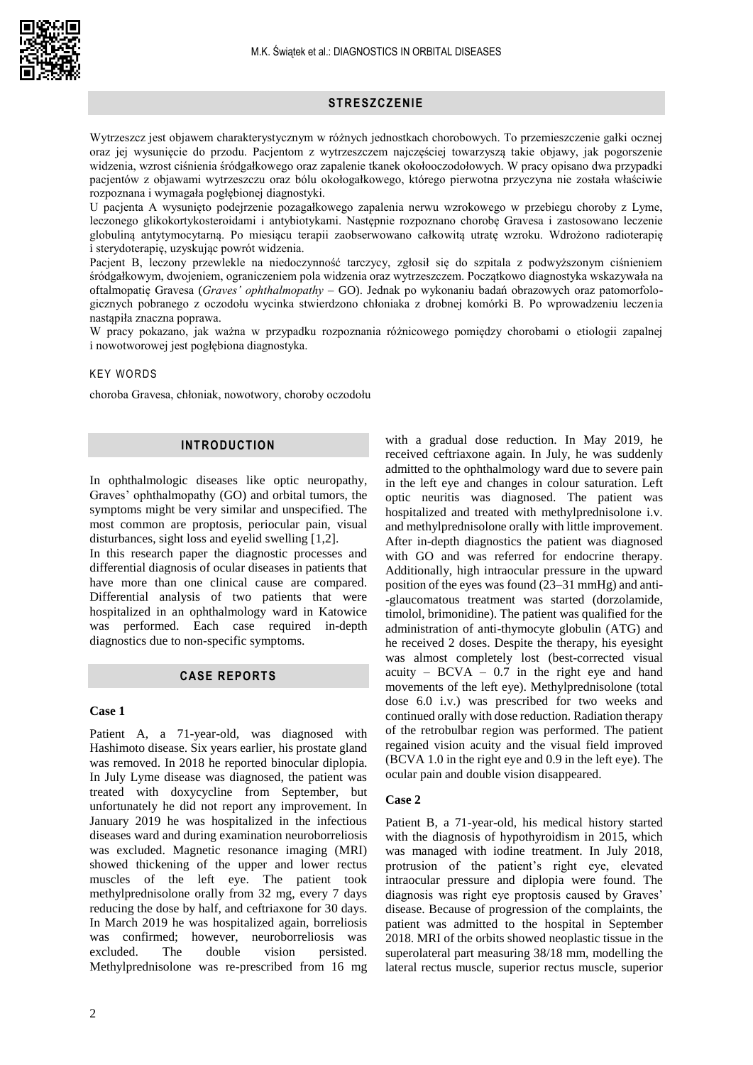

# **STR E SZCZ ENI E**

Wytrzeszcz jest objawem charakterystycznym w różnych jednostkach chorobowych. To przemieszczenie gałki ocznej oraz jej wysunięcie do przodu. Pacjentom z wytrzeszczem najczęściej towarzyszą takie objawy, jak pogorszenie widzenia, wzrost ciśnienia śródgałkowego oraz zapalenie tkanek okołooczodołowych. W pracy opisano dwa przypadki pacjentów z objawami wytrzeszczu oraz bólu okołogałkowego, którego pierwotna przyczyna nie została właściwie rozpoznana i wymagała pogłębionej diagnostyki.

U pacjenta A wysunięto podejrzenie pozagałkowego zapalenia nerwu wzrokowego w przebiegu choroby z Lyme, leczonego glikokortykosteroidami i antybiotykami. Następnie rozpoznano chorobę Gravesa i zastosowano leczenie globuliną antytymocytarną. Po miesiącu terapii zaobserwowano całkowitą utratę wzroku. Wdrożono radioterapię i sterydoterapię, uzyskując powrót widzenia.

Pacjent B, leczony przewlekle na niedoczynność tarczycy, zgłosił się do szpitala z podwyższonym ciśnieniem śródgałkowym, dwojeniem, ograniczeniem pola widzenia oraz wytrzeszczem. Początkowo diagnostyka wskazywała na oftalmopatię Gravesa (*Graves' ophthalmopathy* – GO). Jednak po wykonaniu badań obrazowych oraz patomorfologicznych pobranego z oczodołu wycinka stwierdzono chłoniaka z drobnej komórki B. Po wprowadzeniu leczenia nastąpiła znaczna poprawa.

W pracy pokazano, jak ważna w przypadku rozpoznania różnicowego pomiędzy chorobami o etiologii zapalnej i nowotworowej jest pogłębiona diagnostyka.

# **KEY WORDS**

choroba Gravesa, chłoniak, nowotwory, choroby oczodołu

## **INTRODUCTION**

In ophthalmologic diseases like optic neuropathy, Graves' ophthalmopathy (GO) and orbital tumors, the symptoms might be very similar and unspecified. The most common are proptosis, periocular pain, visual disturbances, sight loss and eyelid swelling [1,2].

In this research paper the diagnostic processes and differential diagnosis of ocular diseases in patients that have more than one clinical cause are compared. Differential analysis of two patients that were hospitalized in an ophthalmology ward in Katowice was performed. Each case required in-depth diagnostics due to non-specific symptoms.

# **CASE REPORTS**

#### **Case 1**

Patient A, a 71-year-old, was diagnosed with Hashimoto disease. Six years earlier, his prostate gland was removed. In 2018 he reported binocular diplopia. In July Lyme disease was diagnosed, the patient was treated with doxycycline from September, but unfortunately he did not report any improvement. In January 2019 he was hospitalized in the infectious diseases ward and during examination neuroborreliosis was excluded. Magnetic resonance imaging (MRI) showed thickening of the upper and lower rectus muscles of the left eye. The patient took methylprednisolone orally from 32 mg, every 7 days reducing the dose by half, and ceftriaxone for 30 days. In March 2019 he was hospitalized again, borreliosis was confirmed; however, neuroborreliosis was excluded. The double vision persisted. Methylprednisolone was re-prescribed from 16 mg

hospitalized and treated with methylprednisolone i.v. and methylprednisolone orally with little improvement. After in-depth diagnostics the patient was diagnosed with GO and was referred for endocrine therapy. Additionally, high intraocular pressure in the upward position of the eyes was found (23–31 mmHg) and anti- -glaucomatous treatment was started (dorzolamide, timolol, brimonidine). The patient was qualified for the administration of anti-thymocyte globulin (ATG) and he received 2 doses. Despite the therapy, his eyesight was almost completely lost (best-corrected visual acuity –  $BCVA - 0.7$  in the right eye and hand movements of the left eye). Methylprednisolone (total dose 6.0 i.v.) was prescribed for two weeks and continued orally with dose reduction. Radiation therapy of the retrobulbar region was performed. The patient regained vision acuity and the visual field improved (BCVA 1.0 in the right eye and 0.9 in the left eye). The ocular pain and double vision disappeared. **Case 2** Patient B, a 71-year-old, his medical history started

with a gradual dose reduction. In May 2019, he received ceftriaxone again. In July, he was suddenly admitted to the ophthalmology ward due to severe pain in the left eye and changes in colour saturation. Left optic neuritis was diagnosed. The patient was

with the diagnosis of hypothyroidism in 2015, which was managed with iodine treatment. In July 2018, protrusion of the patient's right eye, elevated intraocular pressure and diplopia were found. The diagnosis was right eye proptosis caused by Graves' disease. Because of progression of the complaints, the patient was admitted to the hospital in September 2018. MRI of the orbits showed neoplastic tissue in the superolateral part measuring 38/18 mm, modelling the lateral rectus muscle, superior rectus muscle, superior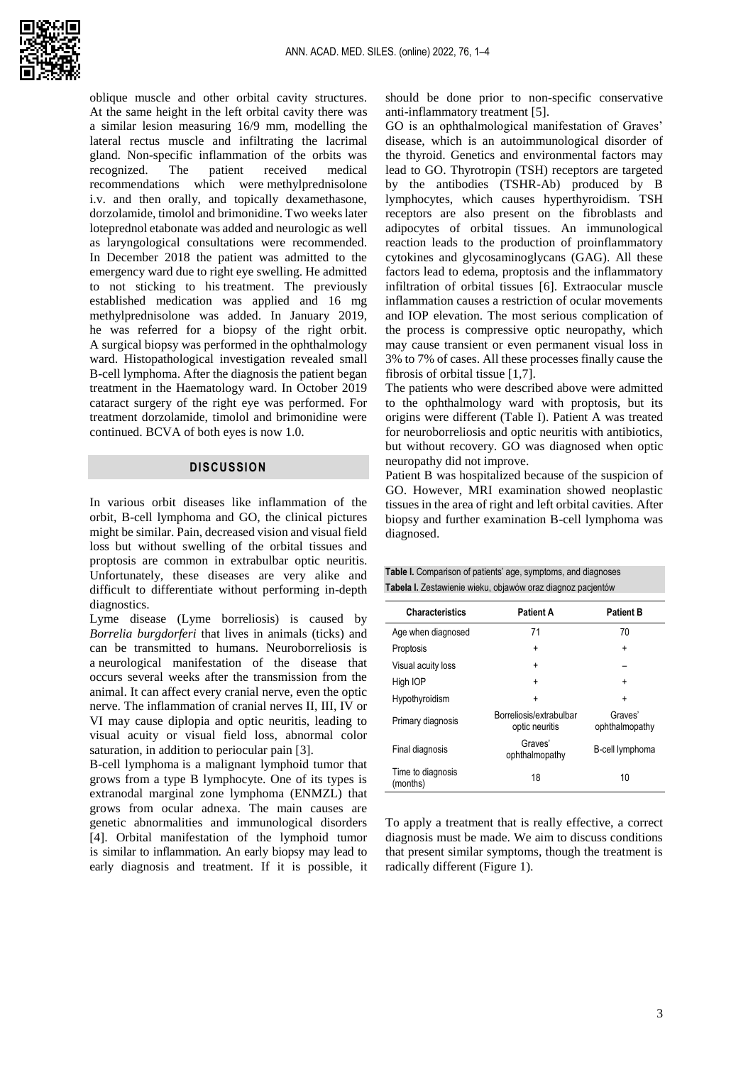oblique muscle and other orbital cavity structures. At the same height in the left orbital cavity there was a similar lesion measuring 16/9 mm, modelling the lateral rectus muscle and infiltrating the lacrimal gland. Non-specific inflammation of the orbits was recognized. The patient received medical recommendations which were methylprednisolone i.v. and then orally, and topically dexamethasone, dorzolamide, timolol and brimonidine. Two weeks later loteprednol etabonate was added and neurologic as well as laryngological consultations were recommended. In December 2018 the patient was admitted to the emergency ward due to right eye swelling. He admitted to not sticking to his treatment. The previously established medication was applied and 16 mg methylprednisolone was added. In January 2019, he was referred for a biopsy of the right orbit. A surgical biopsy was performed in the ophthalmology ward. Histopathological investigation revealed small B-cell lymphoma. After the diagnosis the patient began treatment in the Haematology ward. In October 2019 cataract surgery of the right eye was performed. For treatment dorzolamide, timolol and brimonidine were continued. BCVA of both eyes is now 1.0.

## **DISCUSSION**

In various orbit diseases like inflammation of the orbit, B-cell lymphoma and GO, the clinical pictures might be similar. Pain, decreased vision and visual field loss but without swelling of the orbital tissues and proptosis are common in extrabulbar optic neuritis. Unfortunately, these diseases are very alike and difficult to differentiate without performing in-depth diagnostics.

Lyme disease (Lyme borreliosis) is caused by *Borrelia burgdorferi* that lives in animals (ticks) and can be transmitted to humans. Neuroborreliosis is a neurological manifestation of the disease that occurs several weeks after the transmission from the animal. It can affect every cranial nerve, even the optic nerve. The inflammation of cranial nerves II, III, IV or VI may cause diplopia and optic neuritis, leading to visual acuity or visual field loss, abnormal color saturation, in addition to periocular pain [3].

B-cell lymphoma is a malignant lymphoid tumor that grows from a type B lymphocyte. One of its types is extranodal marginal zone lymphoma (ENMZL) that grows from ocular adnexa. The main causes are genetic abnormalities and immunological disorders [4]. Orbital manifestation of the lymphoid tumor is similar to inflammation. An early biopsy may lead to early diagnosis and treatment. If it is possible, it

should be done prior to non-specific conservative anti-inflammatory treatment [5].

GO is an ophthalmological manifestation of Graves' disease, which is an autoimmunological disorder of the thyroid. Genetics and environmental factors may lead to GO. Thyrotropin (TSH) receptors are targeted by the antibodies (TSHR-Ab) produced by B lymphocytes, which causes hyperthyroidism. TSH receptors are also present on the fibroblasts and adipocytes of orbital tissues. An immunological reaction leads to the production of proinflammatory cytokines and glycosaminoglycans (GAG). All these factors lead to edema, proptosis and the inflammatory infiltration of orbital tissues [6]. Extraocular muscle inflammation causes a restriction of ocular movements and IOP elevation. The most serious complication of the process is compressive optic neuropathy, which may cause transient or even permanent visual loss in 3% to 7% of cases. All these processes finally cause the fibrosis of orbital tissue [1,7].

The patients who were described above were admitted to the ophthalmology ward with proptosis, but its origins were different (Table I). Patient A was treated for neuroborreliosis and optic neuritis with antibiotics, but without recovery. GO was diagnosed when optic neuropathy did not improve.

Patient B was hospitalized because of the suspicion of GO. However, MRI examination showed neoplastic tissues in the area of right and left orbital cavities. After biopsy and further examination B-cell lymphoma was diagnosed.

**Table I.** Comparison of patients' age, symptoms, and diagnoses

| Tabela I. Zestawienie wieku, objawów oraz diagnoz pacjentów |                                           |                           |
|-------------------------------------------------------------|-------------------------------------------|---------------------------|
| <b>Characteristics</b>                                      | <b>Patient A</b>                          | <b>Patient B</b>          |
| Age when diagnosed                                          | 71                                        | 70                        |
| Proptosis                                                   | $\ddot{}$                                 | +                         |
| Visual acuity loss                                          | $\ddot{}$                                 |                           |
| High IOP                                                    | ÷                                         | $\ddot{}$                 |
| Hypothyroidism                                              | ÷                                         | ÷                         |
| Primary diagnosis                                           | Borreliosis/extrabulbar<br>optic neuritis | Graves'<br>ophthalmopathy |
| Final diagnosis                                             | Graves'<br>ophthalmopathy                 | B-cell lymphoma           |
| Time to diagnosis<br>(months)                               | 18                                        | 10                        |

To apply a treatment that is really effective, a correct diagnosis must be made. We aim to discuss conditions that present similar symptoms, though the treatment is radically different (Figure 1).